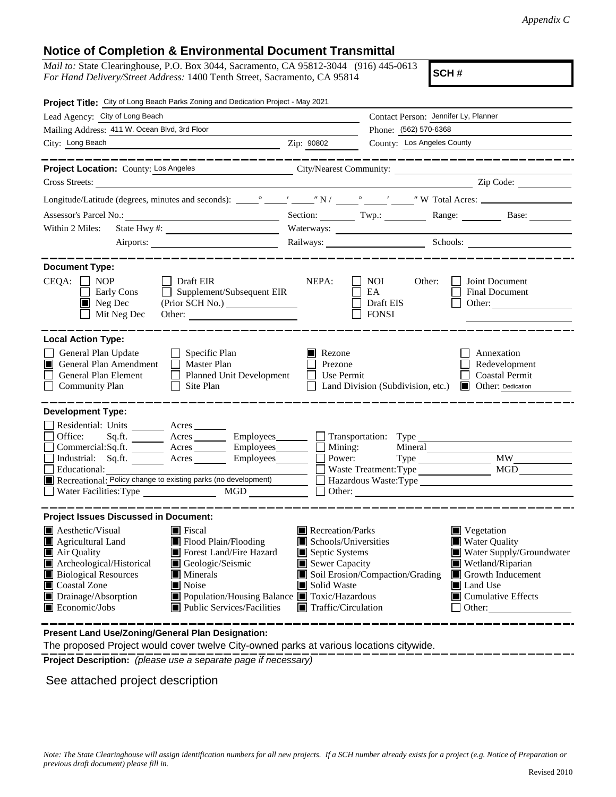## **Notice of Completion & Environmental Document Transmittal**

*Mail to:* State Clearinghouse, P.O. Box 3044, Sacramento, CA 95812-3044 (916) 445-0613 *For Hand Delivery/Street Address:* 1400 Tenth Street, Sacramento, CA 95814

**SCH #**

| Project Title: City of Long Beach Parks Zoning and Dedication Project - May 2021                                                                                                                                                                                                                                                                                                                                                    |                                                                                                                                                                                                                                                                                                                                                                                                                                                                                 |  |  |  |  |
|-------------------------------------------------------------------------------------------------------------------------------------------------------------------------------------------------------------------------------------------------------------------------------------------------------------------------------------------------------------------------------------------------------------------------------------|---------------------------------------------------------------------------------------------------------------------------------------------------------------------------------------------------------------------------------------------------------------------------------------------------------------------------------------------------------------------------------------------------------------------------------------------------------------------------------|--|--|--|--|
| Lead Agency: City of Long Beach                                                                                                                                                                                                                                                                                                                                                                                                     | Contact Person: Jennifer Ly, Planner                                                                                                                                                                                                                                                                                                                                                                                                                                            |  |  |  |  |
| Mailing Address: 411 W. Ocean Blvd, 3rd Floor                                                                                                                                                                                                                                                                                                                                                                                       | Phone: (562) 570-6368                                                                                                                                                                                                                                                                                                                                                                                                                                                           |  |  |  |  |
| City: Long Beach                                                                                                                                                                                                                                                                                                                                                                                                                    | County: Los Angeles County<br>Zip: 90802                                                                                                                                                                                                                                                                                                                                                                                                                                        |  |  |  |  |
|                                                                                                                                                                                                                                                                                                                                                                                                                                     |                                                                                                                                                                                                                                                                                                                                                                                                                                                                                 |  |  |  |  |
| Project Location: County: Los Angeles City/Nearest Community: __________________                                                                                                                                                                                                                                                                                                                                                    |                                                                                                                                                                                                                                                                                                                                                                                                                                                                                 |  |  |  |  |
| Cross Streets:<br><u> 1989 - John Stein, Amerikaansk politiker (</u>                                                                                                                                                                                                                                                                                                                                                                | $\overline{\phantom{a}}$ $\overline{\phantom{a}}$ $\overline{\phantom{a}}$ $\overline{\phantom{a}}$ $\overline{\phantom{a}}$ $\overline{\phantom{a}}$ $\overline{\phantom{a}}$ $\overline{\phantom{a}}$ $\overline{\phantom{a}}$ $\overline{\phantom{a}}$ $\overline{\phantom{a}}$ $\overline{\phantom{a}}$ $\overline{\phantom{a}}$ $\overline{\phantom{a}}$ $\overline{\phantom{a}}$ $\overline{\phantom{a}}$ $\overline{\phantom{a}}$ $\overline{\phantom{a}}$ $\overline{\$ |  |  |  |  |
|                                                                                                                                                                                                                                                                                                                                                                                                                                     |                                                                                                                                                                                                                                                                                                                                                                                                                                                                                 |  |  |  |  |
|                                                                                                                                                                                                                                                                                                                                                                                                                                     | Section: Twp.: Twp.: Range: Base: Base:                                                                                                                                                                                                                                                                                                                                                                                                                                         |  |  |  |  |
| State Hwy #: $\frac{1}{2}$ $\frac{1}{2}$ $\frac{1}{2}$ $\frac{1}{2}$ $\frac{1}{2}$ $\frac{1}{2}$ $\frac{1}{2}$ $\frac{1}{2}$ $\frac{1}{2}$ $\frac{1}{2}$ $\frac{1}{2}$ $\frac{1}{2}$ $\frac{1}{2}$ $\frac{1}{2}$ $\frac{1}{2}$ $\frac{1}{2}$ $\frac{1}{2}$ $\frac{1}{2}$ $\frac{1}{2}$ $\frac{1}{2}$ $\frac{1}{2}$<br>Within 2 Miles:                                                                                               |                                                                                                                                                                                                                                                                                                                                                                                                                                                                                 |  |  |  |  |
|                                                                                                                                                                                                                                                                                                                                                                                                                                     | Railways: Schools: Schools:                                                                                                                                                                                                                                                                                                                                                                                                                                                     |  |  |  |  |
|                                                                                                                                                                                                                                                                                                                                                                                                                                     |                                                                                                                                                                                                                                                                                                                                                                                                                                                                                 |  |  |  |  |
| <b>Document Type:</b><br>$CEQA: \Box NP$<br>$\Box$ Draft EIR<br>$\Box$<br>Supplement/Subsequent EIR<br><b>Early Cons</b><br>$\blacksquare$ Neg Dec<br>Mit Neg Dec<br>Other:                                                                                                                                                                                                                                                         | NEPA:<br>NOI<br>Joint Document<br>Other:<br>EA<br><b>Final Document</b><br>Draft EIS<br>Other:<br><b>FONSI</b>                                                                                                                                                                                                                                                                                                                                                                  |  |  |  |  |
| <b>Local Action Type:</b>                                                                                                                                                                                                                                                                                                                                                                                                           |                                                                                                                                                                                                                                                                                                                                                                                                                                                                                 |  |  |  |  |
| General Plan Update<br>$\Box$ Specific Plan<br>General Plan Amendment<br>$\Box$ Master Plan<br>$\blacksquare$<br>General Plan Element<br>$\Box$<br>Planned Unit Development<br><b>Community Plan</b><br>Site Plan<br>$\Box$                                                                                                                                                                                                         | Rezone<br>Annexation<br>Prezone<br>Redevelopment<br><b>Coastal Permit</b><br>Use Permit<br>Land Division (Subdivision, etc.)<br>Other: Dedication                                                                                                                                                                                                                                                                                                                               |  |  |  |  |
| <b>Development Type:</b>                                                                                                                                                                                                                                                                                                                                                                                                            |                                                                                                                                                                                                                                                                                                                                                                                                                                                                                 |  |  |  |  |
| Residential: Units ________ Acres _______<br>Office:<br>Acres<br>Sq.fit.<br>Commercial:Sq.ft. Acres Employees<br>Industrial: Sq.ft. _______ Acres _______ Employees ______ $\square$<br>Educational:<br>Recreational: Policy change to existing parks (no development)                                                                                                                                                              | Employees Transportation: Type<br>Mining:<br>Mineral<br>Power:<br><b>MW</b><br><b>MGD</b><br>Waste Treatment: Type<br>Hazardous Waste:Type<br>$\mathsf{L}$                                                                                                                                                                                                                                                                                                                      |  |  |  |  |
| <b>Project Issues Discussed in Document:</b>                                                                                                                                                                                                                                                                                                                                                                                        |                                                                                                                                                                                                                                                                                                                                                                                                                                                                                 |  |  |  |  |
| $\blacksquare$ Aesthetic/Visual<br>$\blacksquare$ Fiscal<br>Flood Plain/Flooding<br>Agricultural Land<br>Air Quality<br>Forest Land/Fire Hazard<br>Archeological/Historical<br>Geologic/Seismic<br>П<br><b>Biological Resources</b><br>$\blacksquare$ Minerals<br>Coastal Zone<br>Noise<br>Drainage/Absorption<br>■ Population/Housing Balance ■ Toxic/Hazardous<br>Ш<br>$\blacksquare$ Economic/Jobs<br>Public Services/Facilities | Recreation/Parks<br>Vegetation<br>Water Quality<br>Schools/Universities<br>Water Supply/Groundwater<br>Septic Systems<br>$\blacksquare$ Sewer Capacity<br>Wetland/Riparian<br>Soil Erosion/Compaction/Grading<br>$\Box$ Growth Inducement<br>Solid Waste<br><b>■</b> Land Use<br><b>Cumulative Effects</b><br>$\blacksquare$ Traffic/Circulation<br>Other:                                                                                                                      |  |  |  |  |

**Present Land Use/Zoning/General Plan Designation:**

The proposed Project would cover twelve City-owned parks at various locations citywide.

**Project Description:** *(please use a separate page if necessary)*

See attached project description